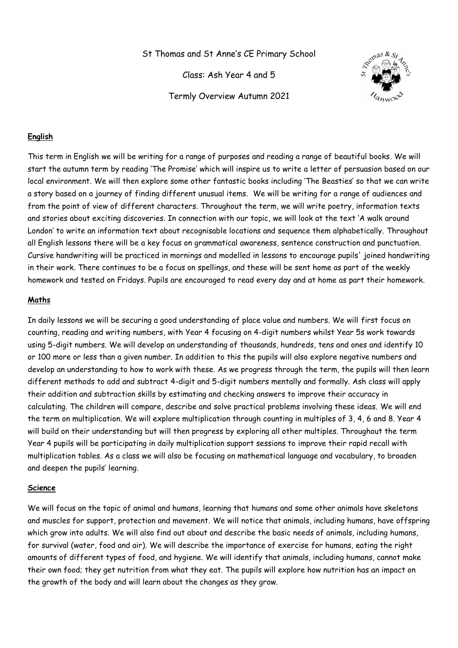St Thomas and St Anne's CE Primary School

Class: Ash Year 4 and 5

Termly Overview Autumn 2021



## **English**

This term in English we will be writing for a range of purposes and reading a range of beautiful books. We will start the autumn term by reading 'The Promise' which will inspire us to write a letter of persuasion based on our local environment. We will then explore some other fantastic books including 'The Beasties' so that we can write a story based on a journey of finding different unusual items. We will be writing for a range of audiences and from the point of view of different characters. Throughout the term, we will write poetry, information texts and stories about exciting discoveries. In connection with our topic, we will look at the text 'A walk around London' to write an information text about recognisable locations and sequence them alphabetically. Throughout all English lessons there will be a key focus on grammatical awareness, sentence construction and punctuation. Cursive handwriting will be practiced in mornings and modelled in lessons to encourage pupils' joined handwriting in their work. There continues to be a focus on spellings, and these will be sent home as part of the weekly homework and tested on Fridays. Pupils are encouraged to read every day and at home as part their homework.

#### **Maths**

In daily lessons we will be securing a good understanding of place value and numbers. We will first focus on counting, reading and writing numbers, with Year 4 focusing on 4-digit numbers whilst Year 5s work towards using 5-digit numbers. We will develop an understanding of thousands, hundreds, tens and ones and identify 10 or 100 more or less than a given number. In addition to this the pupils will also explore negative numbers and develop an understanding to how to work with these. As we progress through the term, the pupils will then learn different methods to add and subtract 4-digit and 5-digit numbers mentally and formally. Ash class will apply their addition and subtraction skills by estimating and checking answers to improve their accuracy in calculating. The children will compare, describe and solve practical problems involving these ideas. We will end the term on multiplication. We will explore multiplication through counting in multiples of 3, 4, 6 and 8. Year 4 will build on their understanding but will then progress by exploring all other multiples. Throughout the term Year 4 pupils will be participating in daily multiplication support sessions to improve their rapid recall with multiplication tables. As a class we will also be focusing on mathematical language and vocabulary, to broaden and deepen the pupils' learning.

#### **Science**

We will focus on the topic of animal and humans, learning that humans and some other animals have skeletons and muscles for support, protection and movement. We will notice that animals, including humans, have offspring which grow into adults. We will also find out about and describe the basic needs of animals, including humans, for survival (water, food and air). We will describe the importance of exercise for humans, eating the right amounts of different types of food, and hygiene. We will identify that animals, including humans, cannot make their own food; they get nutrition from what they eat. The pupils will explore how nutrition has an impact on the growth of the body and will learn about the changes as they grow.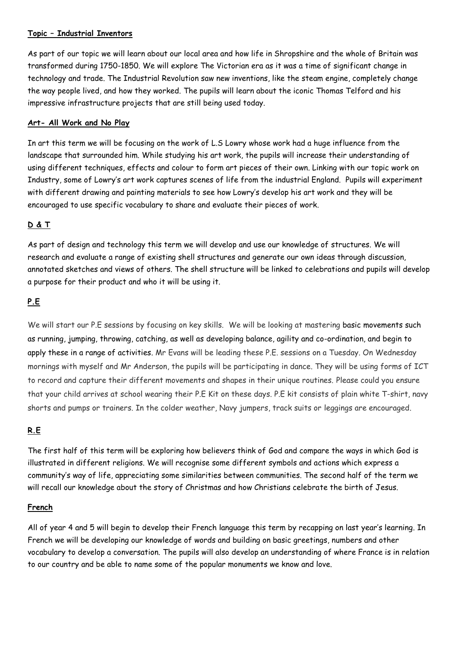### **Topic – Industrial Inventors**

As part of our topic we will learn about our local area and how life in Shropshire and the whole of Britain was transformed during 1750-1850. We will explore The Victorian era as it was a time of significant change in technology and trade. The Industrial Revolution saw new inventions, like the steam engine, completely change the way people lived, and how they worked. The pupils will learn about the iconic Thomas Telford and his impressive infrastructure projects that are still being used today.

#### **Art- All Work and No Play**

In art this term we will be focusing on the work of L.S Lowry whose work had a huge influence from the landscape that surrounded him. While studying his art work, the pupils will increase their understanding of using different techniques, effects and colour to form art pieces of their own. Linking with our topic work on Industry, some of Lowry's art work captures scenes of life from the industrial England. Pupils will experiment with different drawing and painting materials to see how Lowry's develop his art work and they will be encouraged to use specific vocabulary to share and evaluate their pieces of work.

# **D & T**

As part of design and technology this term we will develop and use our knowledge of structures. We will research and evaluate a range of existing shell structures and generate our own ideas through discussion, annotated sketches and views of others. The shell structure will be linked to celebrations and pupils will develop a purpose for their product and who it will be using it.

## **P.E**

We will start our P.E sessions by focusing on key skills. We will be looking at mastering basic movements such as running, jumping, throwing, catching, as well as developing balance, agility and co-ordination, and begin to apply these in a range of activities. Mr Evans will be leading these P.E. sessions on a Tuesday. On Wednesday mornings with myself and Mr Anderson, the pupils will be participating in dance. They will be using forms of ICT to record and capture their different movements and shapes in their unique routines. Please could you ensure that your child arrives at school wearing their P.E Kit on these days. P.E kit consists of plain white T-shirt, navy shorts and pumps or trainers. In the colder weather, Navy jumpers, track suits or leggings are encouraged.

# **R.E**

The first half of this term will be exploring how believers think of God and compare the ways in which God is illustrated in different religions. We will recognise some different symbols and actions which express a community's way of life, appreciating some similarities between communities. The second half of the term we will recall our knowledge about the story of Christmas and how Christians celebrate the birth of Jesus.

### **French**

All of year 4 and 5 will begin to develop their French language this term by recapping on last year's learning. In French we will be developing our knowledge of words and building on basic greetings, numbers and other vocabulary to develop a conversation. The pupils will also develop an understanding of where France is in relation to our country and be able to name some of the popular monuments we know and love.